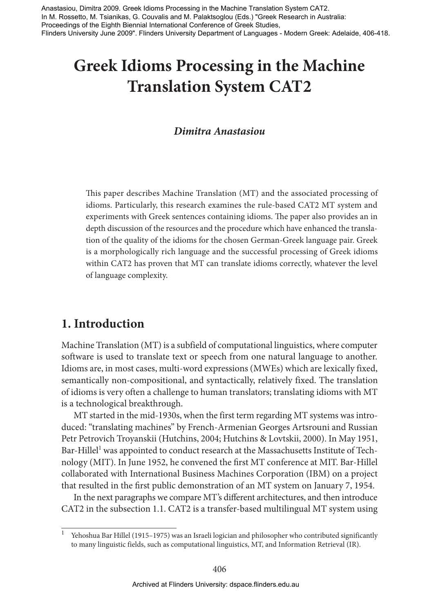Dimitra Anastasiou Anastasiou, Dimitra 2009. Greek Idioms Processing in the Machine Translation System CAT2. In M. Rossetto, M. Tsianikas, G. Couvalis and M. Palaktsoglou (Eds.) "Greek Research in Australia: Proceedings of the Eighth Biennial International Conference of Greek Studies, Flinders University June 2009". Flinders University Department of Languages - Modern Greek: Adelaide, 406-418.

# **Greek Idioms Processing in the Machine Translation System CAT2**

### *Dimitra Anastasiou*

This paper describes Machine Translation (MT) and the associated processing of idioms. Particularly, this research examines the rule-based CAT2 MT system and experiments with Greek sentences containing idioms. The paper also provides an in depth discussion of the resources and the procedure which have enhanced the translation of the quality of the idioms for the chosen German-Greek language pair. Greek is a morphologically rich language and the successful processing of Greek idioms within CAT2 has proven that MT can translate idioms correctly, whatever the level of language complexity.

### **1. Introduction**

Machine Translation (MT ) is a subfield of computational linguistics, where computer software is used to translate text or speech from one natural language to another. Idioms are, in most cases, multi-word expressions (MWEs) which are lexically fixed, semantically non-compositional, and syntactically, relatively fixed. The translation of idioms is very often a challenge to human translators; translating idioms with MT is a technological breakthrough.

MT started in the mid-1930s, when the first term regarding MT systems was introduced: "translating machines" by French-Armenian Georges Artsrouni and Russian Petr Petrovich Troyanskii (Hutchins, 2004; Hutchins & Lovtskii, 2000). In May 1951, Bar-Hillel<sup>1</sup> was appointed to conduct research at the Massachusetts Institute of Technology (MIT). In June 1952, he convened the first MT conference at MIT. Bar-Hillel collaborated with International Business Machines Corporation (IBM) on a project that resulted in the first public demonstration of an MT system on January 7, 1954.

In the next paragraphs we compare MT 's different architectures, and then introduce CAT2 in the subsection 1.1. CAT2 is a transfer-based multilingual MT system using

<sup>1</sup> Yehoshua Bar Hillel (1915–1975) was an Israeli logician and philosopher who contributed significantly to many linguistic fields, such as computational linguistics, MT, and Information Retrieval (IR).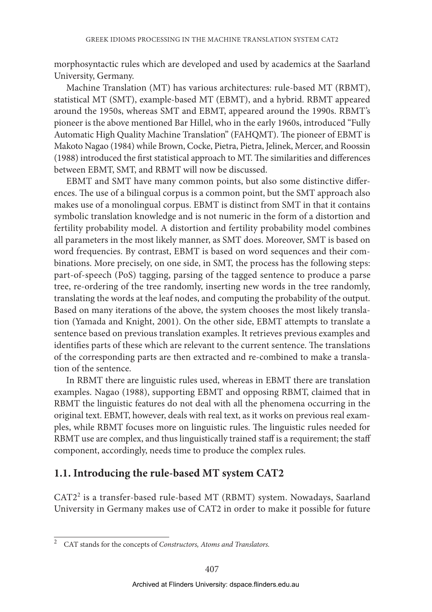morphosyntactic rules which are developed and used by academics at the Saarland University, Germany.

Machine Translation (MT) has various architectures: rule-based MT (RBMT), statistical MT (SMT), example-based MT (EBMT), and a hybrid. RBMT appeared around the 1950s, whereas SMT and EBMT, appeared around the 1990s. RBMT's pioneer is the above mentioned Bar Hillel, who in the early 1960s, introduced "Fully Automatic High Quality Machine Translation" (FAHQMT). The pioneer of EBMT is Makoto Nagao (1984) while Brown, Cocke, Pietra, Pietra, Jelinek, Mercer, and Roossin (1988) introduced the first statistical approach to MT. The similarities and differences between EBMT, SMT, and RBMT will now be discussed.

EBMT and SMT have many common points, but also some distinctive differences. The use of a bilingual corpus is a common point, but the SMT approach also makes use of a monolingual corpus. EBMT is distinct from SMT in that it contains symbolic translation knowledge and is not numeric in the form of a distortion and fertility probability model. A distortion and fertility probability model combines all parameters in the most likely manner, as SMT does. Moreover, SMT is based on word frequencies. By contrast, EBMT is based on word sequences and their combinations. More precisely, on one side, in SMT, the process has the following steps: part-of-speech (PoS) tagging, parsing of the tagged sentence to produce a parse tree, re-ordering of the tree randomly, inserting new words in the tree randomly, translating the words at the leaf nodes, and computing the probability of the output. Based on many iterations of the above, the system chooses the most likely translation (Yamada and Knight, 2001). On the other side, EBMT attempts to translate a sentence based on previous translation examples. It retrieves previous examples and identifies parts of these which are relevant to the current sentence. The translations of the corresponding parts are then extracted and re-combined to make a translation of the sentence.

In RBMT there are linguistic rules used, whereas in EBMT there are translation examples. Nagao (1988), supporting EBMT and opposing RBMT, claimed that in RBMT the linguistic features do not deal with all the phenomena occurring in the original text. EBMT, however, deals with real text, as it works on previous real examples, while RBMT focuses more on linguistic rules. The linguistic rules needed for RBMT use are complex, and thus linguistically trained staff is a requirement; the staff component, accordingly, needs time to produce the complex rules.

### **1.1. Introducing the rule-based MT system CAT2**

CAT2<sup>2</sup> is a transfer-based rule-based MT (RBMT) system. Nowadays, Saarland University in Germany makes use of CAT2 in order to make it possible for future

<sup>2</sup> CAT stands for the concepts of *Constructors, Atoms and Translators.*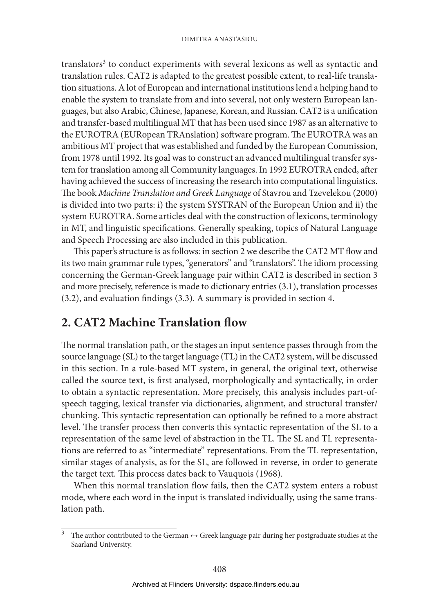translators<sup>3</sup> to conduct experiments with several lexicons as well as syntactic and translation rules. CAT2 is adapted to the greatest possible extent, to real-life translation situations. A lot of European and international institutions lend a helping hand to enable the system to translate from and into several, not only western European languages, but also Arabic, Chinese, Japanese, Korean, and Russian. CAT2 is a unification and transfer-based multilingual MT that has been used since 1987 as an alternative to the EUROTRA (EURopean TRAnslation) software program. The EUROTRA was an ambitious MT project that was established and funded by the European Commission, from 1978 until 1992. Its goal was to construct an advanced multilingual transfer system for translation among all Community languages. In 1992 EUROTRA ended, after having achieved the success of increasing the research into computational linguistics. The book *Machine Translation and Greek Language* of Stavrou and Tzevelekou (2000) is divided into two parts: i) the system SYSTRAN of the European Union and ii) the system EUROTRA. Some articles deal with the construction of lexicons, terminology in MT, and linguistic specifications. Generally speaking, topics of Natural Language and Speech Processing are also included in this publication.

This paper's structure is as follows: in section 2 we describe the CAT2 MT flow and its two main grammar rule types, "generators" and "translators". The idiom processing concerning the German-Greek language pair within CAT2 is described in section 3 and more precisely, reference is made to dictionary entries (3.1), translation processes (3.2), and evaluation findings (3.3). A summary is provided in section 4.

### **2. CAT2 Machine Translation flow**

The normal translation path, or the stages an input sentence passes through from the source language (SL) to the target language (TL) in the CAT2 system, will be discussed in this section. In a rule-based MT system, in general, the original text, otherwise called the source text, is first analysed, morphologically and syntactically, in order to obtain a syntactic representation. More precisely, this analysis includes part-ofspeech tagging, lexical transfer via dictionaries, alignment, and structural transfer/ chunking. This syntactic representation can optionally be refined to a more abstract level. The transfer process then converts this syntactic representation of the SL to a representation of the same level of abstraction in the TL. The SL and TL representations are referred to as "intermediate" representations. From the TL representation, similar stages of analysis, as for the SL, are followed in reverse, in order to generate the target text. This process dates back to Vauquois (1968).

When this normal translation flow fails, then the CAT2 system enters a robust mode, where each word in the input is translated individually, using the same translation path.

<sup>3</sup> The author contributed to the German ↔ Greek language pair during her postgraduate studies at the Saarland University.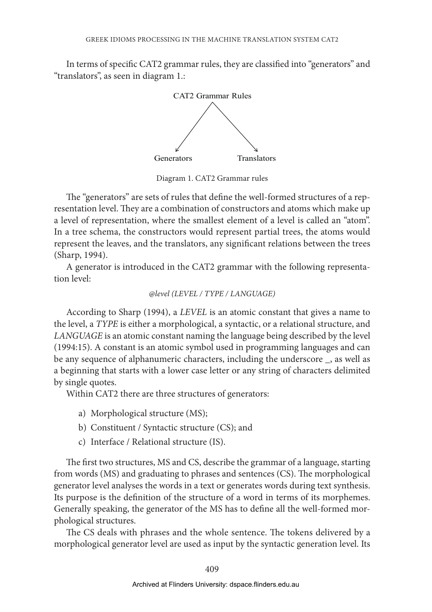In terms of specific CAT2 grammar rules, they are classified into "generators" and "translators", as seen in diagram 1.:



Diagram 1. CAT2 Grammar rules

The "generators" are sets of rules that define the well-formed structures of a representation level. They are a combination of constructors and atoms which make up a level of representation, where the smallest element of a level is called an "atom". In a tree schema, the constructors would represent partial trees, the atoms would represent the leaves, and the translators, any significant relations between the trees (Sharp, 1994).

A generator is introduced in the CAT2 grammar with the following representation level:

### *@level (LEVEL / TYPE / LANGUAGE)*

According to Sharp (1994), a *LEVEL* is an atomic constant that gives a name to the level, a *TYPE* is either a morphological, a syntactic, or a relational structure, and *LANGUAGE* is an atomic constant naming the language being described by the level (1994:15). A constant is an atomic symbol used in programming languages and can be any sequence of alphanumeric characters, including the underscore \_, as well as a beginning that starts with a lower case letter or any string of characters delimited by single quotes.

Within CAT2 there are three structures of generators:

- a) Morphological structure (MS);
- b) Constituent / Syntactic structure (CS); and
- c) Interface / Relational structure (IS).

The first two structures, MS and CS, describe the grammar of a language, starting from words (MS) and graduating to phrases and sentences (CS). The morphological generator level analyses the words in a text or generates words during text synthesis. Its purpose is the definition of the structure of a word in terms of its morphemes. Generally speaking, the generator of the MS has to define all the well-formed morphological structures.

The CS deals with phrases and the whole sentence. The tokens delivered by a morphological generator level are used as input by the syntactic generation level. Its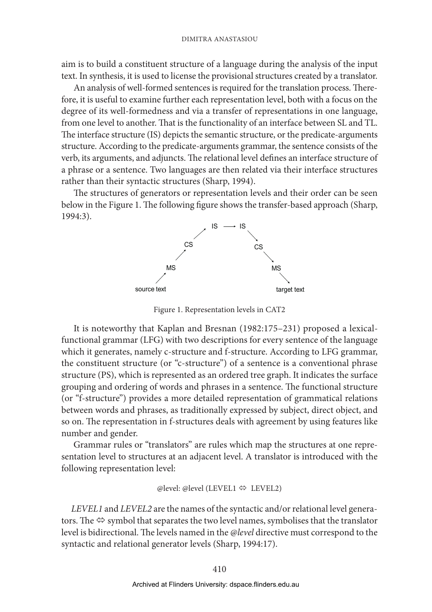aim is to build a constituent structure of a language during the analysis of the input text. In synthesis, it is used to license the provisional structures created by a translator.

An analysis of well-formed sentences is required for the translation process. Therefore, it is useful to examine further each representation level, both with a focus on the degree of its well-formedness and via a transfer of representations in one language, from one level to another. That is the functionality of an interface between SL and TL. The interface structure (IS) depicts the semantic structure, or the predicate-arguments structure. According to the predicate-arguments grammar, the sentence consists of the verb, its arguments, and adjuncts. The relational level defines an interface structure of a phrase or a sentence. Two languages are then related via their interface structures rather than their syntactic structures (Sharp, 1994).

The structures of generators or representation levels and their order can be seen below in the Figure 1. The following figure shows the transfer-based approach (Sharp, 1994:3).



Figure 1. Representation levels in CAT2

It is noteworthy that Kaplan and Bresnan (1982:175–231) proposed a lexicalfunctional grammar (LFG) with two descriptions for every sentence of the language which it generates, namely c-structure and f-structure. According to LFG grammar, the constituent structure (or "c-structure") of a sentence is a conventional phrase structure (PS), which is represented as an ordered tree graph. It indicates the surface grouping and ordering of words and phrases in a sentence. The functional structure (or "f-structure") provides a more detailed representation of grammatical relations between words and phrases, as traditionally expressed by subject, direct object, and so on. The representation in f-structures deals with agreement by using features like number and gender.

Grammar rules or "translators" are rules which map the structures at one representation level to structures at an adjacent level. A translator is introduced with the following representation level:

#### $@level: @level (LEVEL1 \Leftrightarrow LEVEL2)$

*LEVEL1* and *LEVEL2* are the names of the syntactic and/or relational level generators. The  $\Leftrightarrow$  symbol that separates the two level names, symbolises that the translator level is bidirectional. The levels named in the *@level* directive must correspond to the syntactic and relational generator levels (Sharp, 1994:17).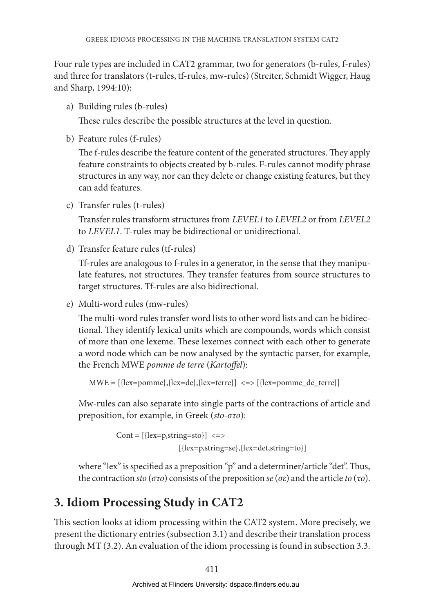Four rule types are included in CAT2 grammar, two for generators (b-rules, f-rules) and three for translators (t-rules, tf-rules, mw-rules) (Streiter, Schmidt Wigger, Haug and Sharp, 1994:10):

a) Building rules (b-rules)

These rules describe the possible structures at the level in question.

b) Feature rules (f-rules)

The f-rules describe the feature content of the generated structures. They apply feature constraints to objects created by b-rules. F-rules cannot modify phrase structures in any way, nor can they delete or change existing features, but they can add features.

c) Transfer rules (t-rules)

 Transfer rules transform structures from *LEVEL1* to *LEVEL2* or from *LEVEL2* to *LEVEL1*. T-rules may be bidirectional or unidirectional.

d) Transfer feature rules (tf-rules)

 Tf-rules are analogous to f-rules in a generator, in the sense that they manipulate features, not structures. They transfer features from source structures to target structures. Tf-rules are also bidirectional.

e) Multi-word rules (mw-rules)

The multi-word rules transfer word lists to other word lists and can be bidirectional. They identify lexical units which are compounds, words which consist of more than one lexeme. These lexemes connect with each other to generate a word node which can be now analysed by the syntactic parser, for example, the French MWE *pomme de terre* (*Kartoffel*):

```
MWE = [{lex=pomme}, {lex=de}, {lex=terre}] \iff [{lex=pomme\_de\_terre}]
```
Mw-rules can also separate into single parts of the contractions of article and preposition, for example, in Greek (*sto-στο*):

```
Cont = [{lex=p, string=sto}] \le [{lex=p,string=se},{lex=det,string=to}]
```
where "lex" is specified as a preposition "p" and a determiner/article "det". Thus, the contraction *sto* (*στο*) consists of the preposition *se* (*σε*) and the article *to* (*το*).

## **3. Idiom Processing Study in CAT2**

This section looks at idiom processing within the CAT2 system. More precisely, we present the dictionary entries (subsection 3.1) and describe their translation process through MT (3.2). An evaluation of the idiom processing is found in subsection 3.3.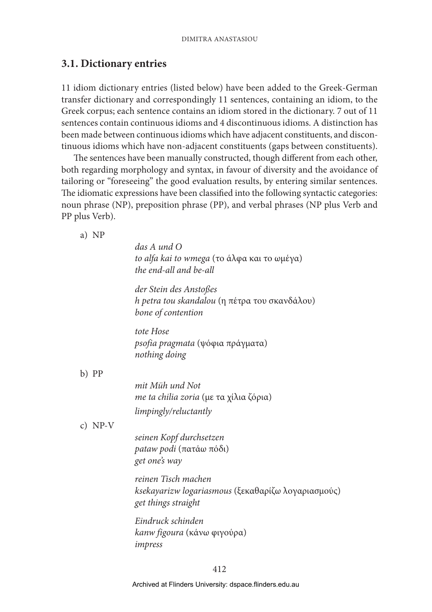### **3.1. Dictionary entries**

11 idiom dictionary entries (listed below) have been added to the Greek-German transfer dictionary and correspondingly 11 sentences, containing an idiom, to the Greek corpus; each sentence contains an idiom stored in the dictionary. 7 out of 11 sentences contain continuous idioms and 4 discontinuous idioms. A distinction has been made between continuous idioms which have adjacent constituents, and discontinuous idioms which have non-adjacent constituents (gaps between constituents).

The sentences have been manually constructed, though different from each other, both regarding morphology and syntax, in favour of diversity and the avoidance of tailoring or "foreseeing" the good evaluation results, by entering similar sentences. The idiomatic expressions have been classified into the following syntactic categories: noun phrase (NP), preposition phrase (PP), and verbal phrases (NP plus Verb and PP plus Verb).

a) NP

|           | das A und O<br>to alfa kai to wmega (το άλφα και το ωμέγα)<br>the end-all and be-all             |
|-----------|--------------------------------------------------------------------------------------------------|
|           | der Stein des Anstoßes<br>h petra tou skandalou (η πέτρα του σκανδάλου)<br>bone of contention    |
|           | tote Hose<br>psofia pragmata (ψόφια πράγματα)<br>nothing doing                                   |
| b) PP     |                                                                                                  |
|           | mit Müh und Not<br>me ta chilia zoria (με τα χίλια ζόρια)                                        |
|           | limpingly/reluctantly                                                                            |
| c) $NP-V$ |                                                                                                  |
|           | seinen Kopf durchsetzen<br><i>pataw podi</i> (πατάω πόδι)<br>get one's way                       |
|           | reinen Tisch machen<br>ksekayarizw logariasmous (ξεκαθαρίζω λογαριασμούς)<br>get things straight |
|           | Eindruck schinden<br>kanw figoura (κάνω φιγούρα)<br>impress                                      |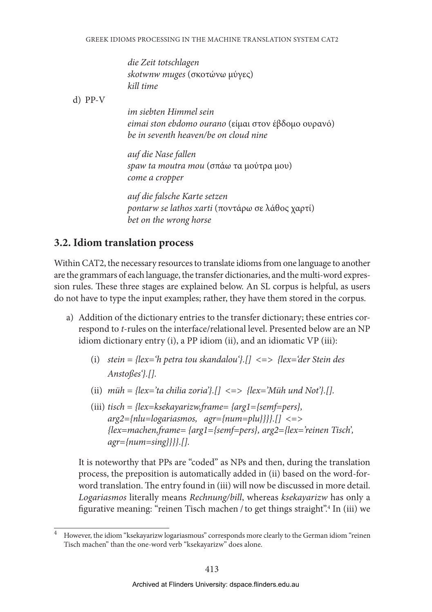*die Zeit totschlagen skotwnw muges* (σκοτώνω μύγες) *kill time*

d) PP-V

*im siebten Himmel sein eimai ston ebdomo ourano* (είμαι στον έβδομο ουρανό) *be in seventh heaven/be on cloud nine*

*auf die Nase fallen spaw ta moutra mou* (σπάω τα μούτρα μου) *come a cropper*

*auf die falsche Karte setzen pontarw se lathos xarti* (ποντάρω σε λάθος χαρτί) *bet on the wrong horse*

### **3.2. Idiom translation process**

Within CAT2, the necessary resources to translate idioms from one language to another are the grammars of each language, the transfer dictionaries, and the multi-word expression rules. These three stages are explained below. An SL corpus is helpful, as users do not have to type the input examples; rather, they have them stored in the corpus.

- a) Addition of the dictionary entries to the transfer dictionary; these entries correspond to *t*-rules on the interface/relational level. Presented below are an NP idiom dictionary entry (i), a PP idiom (ii), and an idiomatic VP (iii):
	- (i) *stein = {lex='h petra tou skandalou'}.[] <=> {lex='der Stein des Anstoßes'}.[].*
	- (ii) *müh = {lex='ta chilia zoria'}.[] <=> {lex='Müh und Not'}.[].*
	- (iii) *tisch = {lex=ksekayarizw,frame= {arg1={semf=pers}, arg2={nlu=logariasmos, agr={num=plu}}}}.[] <=> {lex=machen,frame= {arg1={semf=pers}, arg2={lex='reinen Tisch', agr={num=sing}}}}.[].*

It is noteworthy that PPs are "coded" as NPs and then, during the translation process, the preposition is automatically added in (ii) based on the word-forword translation. The entry found in (iii) will now be discussed in more detail. *Logariasmos* literally means *Rechnung/bill*, whereas *ksekayarizw* has only a figurative meaning: "reinen Tisch machen / to get things straight".4 In (iii) we

<sup>4</sup> However, the idiom "ksekayarizw logariasmous" corresponds more clearly to the German idiom "reinen Tisch machen" than the one-word verb "ksekayarizw" does alone.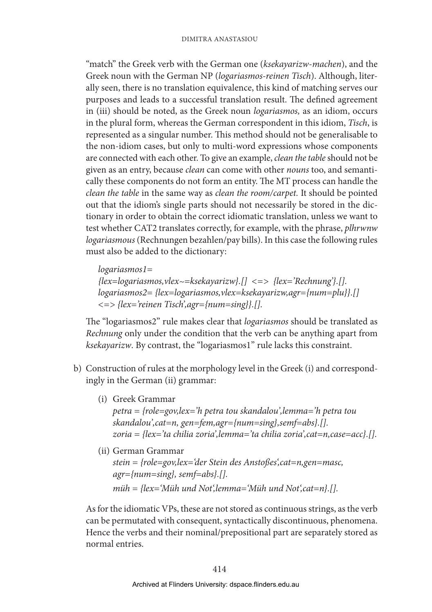"match" the Greek verb with the German one (*ksekayarizw*-*machen*), and the Greek noun with the German NP (*logariasmos-reinen Tisch*). Although, literally seen, there is no translation equivalence, this kind of matching serves our purposes and leads to a successful translation result. The defined agreement in (iii) should be noted, as the Greek noun *logariasmos,* as an idiom, occurs in the plural form, whereas the German correspondent in this idiom, *Tisch*, is represented as a singular number. This method should not be generalisable to the non-idiom cases, but only to multi-word expressions whose components are connected with each other. To give an example, *clean the table* should not be given as an entry, because *clean* can come with other *nouns* too, and semantically these components do not form an entity. The MT process can handle the *clean the table* in the same way as *clean the room/carpet.* It should be pointed out that the idiom's single parts should not necessarily be stored in the dictionary in order to obtain the correct idiomatic translation, unless we want to test whether CAT2 translates correctly, for example, with the phrase, *plhrwnw logariasmous* (Rechnungen bezahlen/pay bills). In this case the following rules must also be added to the dictionary:

*logariasmos1= {lex=logariasmos,vlex~=ksekayarizw}.[] <=> {lex='Rechnung'}.[]. logariasmos2= {lex=logariasmos,vlex=ksekayarizw,agr={num=plu}}.[] <=> {lex='reinen Tisch',agr={num=sing}}.[].*

The "logariasmos2" rule makes clear that *logariasmos* should be translated as *Rechnung* only under the condition that the verb can be anything apart from *ksekayarizw*. By contrast, the "logariasmos1" rule lacks this constraint.

- b) Construction of rules at the morphology level in the Greek (i) and correspondingly in the German (ii) grammar:
	- (i) Greek Grammar *petra = {role=gov,lex='h petra tou skandalou',lemma='h petra tou skandalou',cat=n, gen=fem,agr={num=sing},semf=abs}.[]. zoria = {lex='ta chilia zoria',lemma='ta chilia zoria',cat=n,case=acc}.[].*
	- (ii) German Grammar *stein = {role=gov,lex='der Stein des Anstoßes',cat=n,gen=masc, agr={num=sing}, semf=abs}.[]. müh = {lex='Müh und Not',lemma='Müh und Not',cat=n}.[].*

As for the idiomatic VPs, these are not stored as continuous strings, as the verb can be permutated with consequent, syntactically discontinuous, phenomena. Hence the verbs and their nominal/prepositional part are separately stored as normal entries.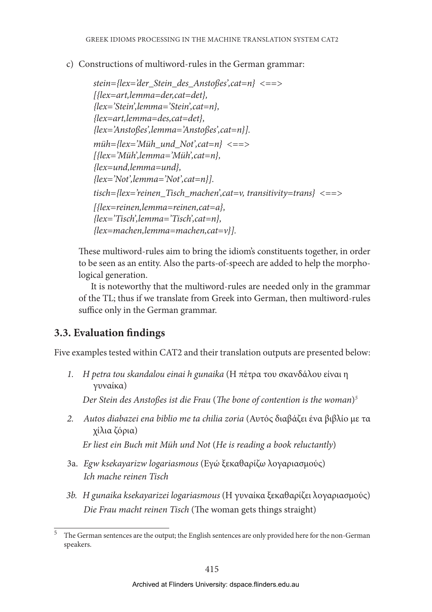c) Constructions of multiword-rules in the German grammar:

```
stein={lex='der_Stein_des_Anstoßes',cat=n} <==> 
[{lex=art,lemma=der,cat=det}, 
{lex='Stein',lemma='Stein',cat=n}, 
{lex=art,lemma=des,cat=det}, 
{lex='Anstoßes',lemma='Anstoßes',cat=n}].
müh={lex='Müh_und_Not',cat=n} <==> 
[{lex='Müh',lemma='Müh',cat=n}, 
{lex=und,lemma=und}, 
{lex='Not',lemma='Not',cat=n}].
tisch={lex='reinen_Tisch_machen',cat=v, transitivity=trans} <==>
[{lex=reinen,lemma=reinen,cat=a}, 
{lex='Tisch',lemma='Tisch',cat=n}, 
{lex=machen,lemma=machen,cat=v}].
```
These multiword-rules aim to bring the idiom's constituents together, in order to be seen as an entity. Also the parts-of-speech are added to help the morphological generation.

It is noteworthy that the multiword-rules are needed only in the grammar of the TL; thus if we translate from Greek into German, then multiword-rules suffice only in the German grammar.

### **3.3. Evaluation findings**

Five examples tested within CAT2 and their translation outputs are presented below:

*1. H petra tou skandalou einai h gunaika* (Η πέτρα του σκανδάλου είναι η γυναίκα)

*Der Stein des Anstoßes ist die Frau* (*The bone of contention is the woman*)*<sup>5</sup>*

*2. Autos diabazei ena biblio me ta chilia zoria* (Αυτός διαβάζει ένα βιβλίο με τα χίλια ζόρια)

*Er liest ein Buch mit Müh und Not* (*He is reading a book reluctantly*)

- 3a. *Egw ksekayarizw logariasmous* (Εγώ ξεκαθαρίζω λογαριασμούς) *Ich mache reinen Tisch*
- *3b. H gunaika ksekayarizei logariasmous* (Η γυναίκα ξεκαθαρίζει λογαριασμούς) *Die Frau macht reinen Tisch* (The woman gets things straight)

<sup>5</sup> The German sentences are the output; the English sentences are only provided here for the non-German speakers.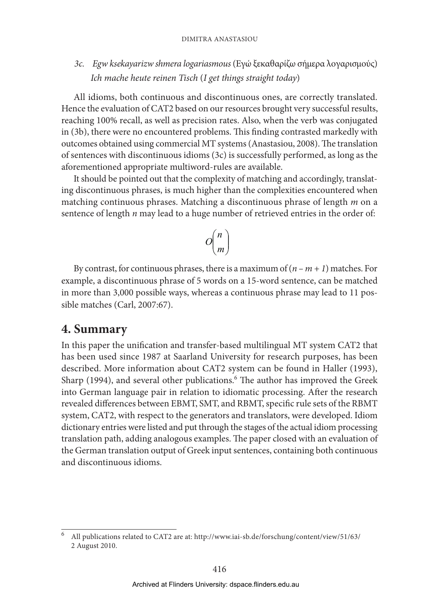#### Dimitra Anastasiou

*3c. Egw ksekayarizw shmera logariasmous* (Εγώ ξεκαθαρίζω σήμερα λογαρισμούς) *Ich mache heute reinen Tisch* (*I get things straight today*)

All idioms, both continuous and discontinuous ones, are correctly translated. Hence the evaluation of CAT2 based on our resources brought very successful results, reaching 100% recall, as well as precision rates. Also, when the verb was conjugated in (3b), there were no encountered problems. This finding contrasted markedly with outcomes obtained using commercial MT systems (Anastasiou, 2008). The translation of sentences with discontinuous idioms (3c) is successfully performed, as long as the aforementioned appropriate multiword-rules are available.

It should be pointed out that the complexity of matching and accordingly, translating discontinuous phrases, is much higher than the complexities encountered when matching continuous phrases. Matching a discontinuous phrase of length *m* on a sentence of length *n* may lead to a huge number of retrieved entries in the order of:

$$
O\binom{n}{m}
$$

By contrast, for continuous phrases, there is a maximum of  $(n - m + 1)$  matches. For example, a discontinuous phrase of 5 words on a 15-word sentence, can be matched in more than 3,000 possible ways, whereas a continuous phrase may lead to 11 possible matches (Carl, 2007:67).

### **4. Summary**

In this paper the unification and transfer-based multilingual MT system CAT2 that has been used since 1987 at Saarland University for research purposes, has been described. More information about CAT2 system can be found in Haller (1993), Sharp (1994), and several other publications.<sup>6</sup> The author has improved the Greek into German language pair in relation to idiomatic processing. After the research revealed differences between EBMT, SMT, and RBMT, specific rule sets of the RBMT system, CAT2, with respect to the generators and translators, were developed. Idiom dictionary entries were listed and put through the stages of the actual idiom processing translation path, adding analogous examples. The paper closed with an evaluation of the German translation output of Greek input sentences, containing both continuous and discontinuous idioms.

<sup>6</sup> All publications related to CAT2 are at: http://www.iai-sb.de/forschung/content/view/51/63/ 2 August 2010.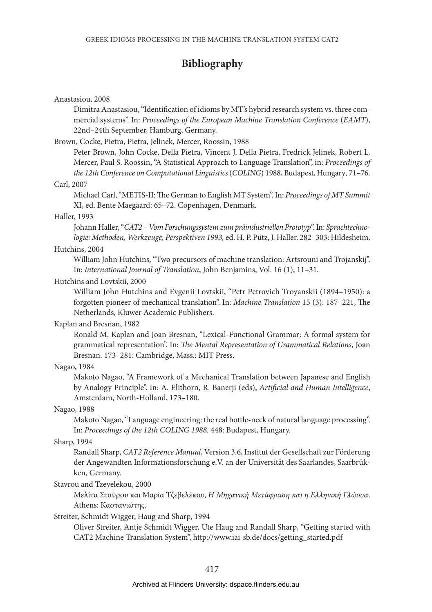### **Bibliography**

Anastasiou, 2008

Dimitra Anastasiou, "Identification of idioms by MT's hybrid research system vs. three commercial systems". In: *Proceedings of the European Machine Translation Conference* (*EAMT*), 22nd–24th September, Hamburg, Germany.

Brown, Cocke, Pietra, Pietra, Jelinek, Mercer, Roossin, 1988

Peter Brown, John Cocke, Della Pietra, Vincent J. Della Pietra, Fredrick Jelinek, Robert L. Mercer, Paul S. Roossin, "A Statistical Approach to Language Translation", in: *Proceedings of the 12th Conference on Computational Linguistics* (*COLING*) 1988, Budapest, Hungary*,* 71–76.

Carl, 2007

Michael Carl, "METIS-II: The German to English MT System". In: *Proceedings of MT Summit*  XI, ed. Bente Maegaard: 65–72. Copenhagen, Denmark.

Haller, 1993

Johann Haller, "*CAT2 – Vom Forschungssystem zum präindustriellen Prototyp*". In: *Sprachtechnologie: Methoden, Werkzeuge, Perspektiven 1993,* ed. H. P. Pütz, J. Haller. 282–303: Hildesheim.

### Hutchins, 2004

William John Hutchins, "Two precursors of machine translation: Artsrouni and Trojanskij". In: *International Journal of Translation*, John Benjamins, Vol. 16 (1), 11–31.

#### Hutchins and Lovtskii, 2000

William John Hutchins and Evgenii Lovtskii, "Petr Petrovich Troyanskii (1894–1950): a forgotten pioneer of mechanical translation". In: *Machine Translation* 15 (3): 187–221, The Netherlands, Kluwer Academic Publishers.

### Kaplan and Bresnan, 1982

Ronald M. Kaplan and Joan Bresnan, "Lexical-Functional Grammar: A formal system for grammatical representation". In: *The Mental Representation of Grammatical Relations*, Joan Bresnan. 173–281: Cambridge, Mass.: MIT Press.

Nagao, 1984

Makoto Nagao, "A Framework of a Mechanical Translation between Japanese and English by Analogy Principle". In: Α. Elithorn, R. Banerji (eds), *Artificial and Human Intelligence*, Amsterdam, North-Holland, 173–180.

#### Nagao, 1988

Makoto Nagao, "Language engineering: the real bottle-neck of natural language processing". In: *Proceedings of the 12th COLING 1988*. 448: Budapest, Hungary.

#### Sharp, 1994

Randall Sharp, *CAT2 Reference Manual*, Version 3.6, Institut der Gesellschaft zur Förderung der Angewandten Informationsforschung e.V. an der Universität des Saarlandes, Saarbrükken, Germany.

#### Stavrou and Tzevelekou, 2000

Mελίτα Σταύρου και Μαρία Τζεβελέκου, *Η Μηχανική Μετάφραση και η Ελληνική Γλώσσα*. Athens: Καστανιώτης.

Streiter, Schmidt Wigger, Haug and Sharp, 1994

Oliver Streiter, Antje Schmidt Wigger, Ute Haug and Randall Sharp, "Getting started with CAT2 Machine Translation System", http://www.iai-sb.de/docs/getting\_started.pdf